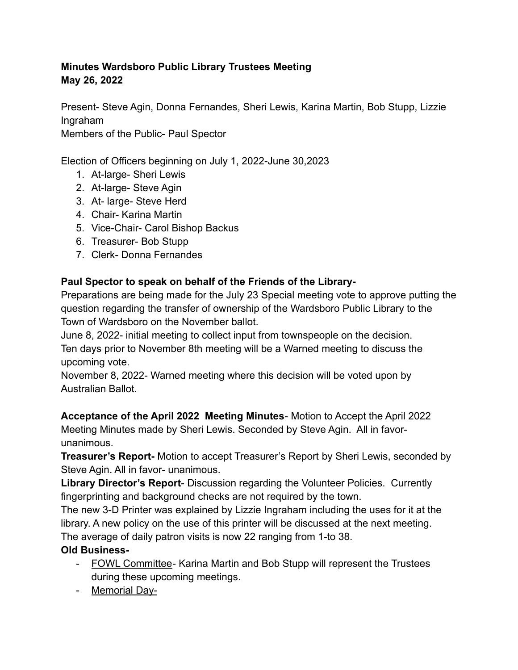## **Minutes Wardsboro Public Library Trustees Meeting May 26, 2022**

Present- Steve Agin, Donna Fernandes, Sheri Lewis, Karina Martin, Bob Stupp, Lizzie Ingraham

Members of the Public- Paul Spector

Election of Officers beginning on July 1, 2022-June 30,2023

- 1. At-large- Sheri Lewis
- 2. At-large- Steve Agin
- 3. At- large- Steve Herd
- 4. Chair- Karina Martin
- 5. Vice-Chair- Carol Bishop Backus
- 6. Treasurer- Bob Stupp
- 7. Clerk- Donna Fernandes

## **Paul Spector to speak on behalf of the Friends of the Library-**

Preparations are being made for the July 23 Special meeting vote to approve putting the question regarding the transfer of ownership of the Wardsboro Public Library to the Town of Wardsboro on the November ballot.

June 8, 2022- initial meeting to collect input from townspeople on the decision. Ten days prior to November 8th meeting will be a Warned meeting to discuss the upcoming vote.

November 8, 2022- Warned meeting where this decision will be voted upon by Australian Ballot.

**Acceptance of the April 2022 Meeting Minutes**- Motion to Accept the April 2022 Meeting Minutes made by Sheri Lewis. Seconded by Steve Agin. All in favorunanimous.

**Treasurer's Report-** Motion to accept Treasurer's Report by Sheri Lewis, seconded by Steve Agin. All in favor- unanimous.

**Library Director's Report**- Discussion regarding the Volunteer Policies. Currently fingerprinting and background checks are not required by the town.

The new 3-D Printer was explained by Lizzie Ingraham including the uses for it at the library. A new policy on the use of this printer will be discussed at the next meeting. The average of daily patron visits is now 22 ranging from 1-to 38.

## **Old Business-**

- FOWL Committee- Karina Martin and Bob Stupp will represent the Trustees during these upcoming meetings.
- Memorial Day-